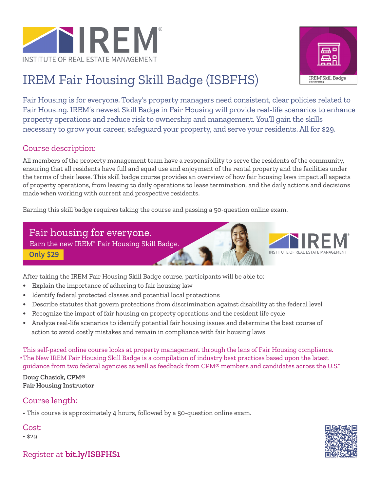



# IREM Fair Housing Skill Badge (ISBFHS)

Fair Housing is for everyone. Today's property managers need consistent, clear policies related to Fair Housing. IREM's newest Skill Badge in Fair Housing will provide real-life scenarios to enhance property operations and reduce risk to ownership and management. You'll gain the skills necessary to grow your career, safeguard your property, and serve your residents. All for \$29.

# Course description:

All members of the property management team have a responsibility to serve the residents of the community, ensuring that all residents have full and equal use and enjoyment of the rental property and the facilities under the terms of their lease. This skill badge course provides an overview of how fair housing laws impact all aspects of property operations, from leasing to daily operations to lease termination, and the daily actions and decisions made when working with current and prospective residents.

Earning this skill badge requires taking the course and passing a 50-question online exam.

# Fair housing for everyone.

**Only \$29** Earn the new IREM® Fair Housing Skill Badge.

After taking the IREM Fair Housing Skill Badge course, participants will be able to:

- **•** Explain the importance of adhering to fair housing law
- **•** Identify federal protected classes and potential local protections
- **•** Describe statutes that govern protections from discrimination against disability at the federal level
- **•** Recognize the impact of fair housing on property operations and the resident life cycle
- **•** Analyze real-life scenarios to identify potential fair housing issues and determine the best course of action to avoid costly mistakes and remain in compliance with fair housing laws

This self-paced online course looks at property management through the lens of Fair Housing compliance. The New IREM Fair Housing Skill Badge is a compilation of industry best practices based upon the latest "guidance from two federal agencies as well as feedback from CPM® members and candidates across the U.S."

**Doug Chasick, CPM® Fair Housing Instructor**

# Course length:

• This course is approximately 4 hours, followed by a 50-question online exam.

# Cost:

• \$29



Register at **bit.ly/ISBFHS1**